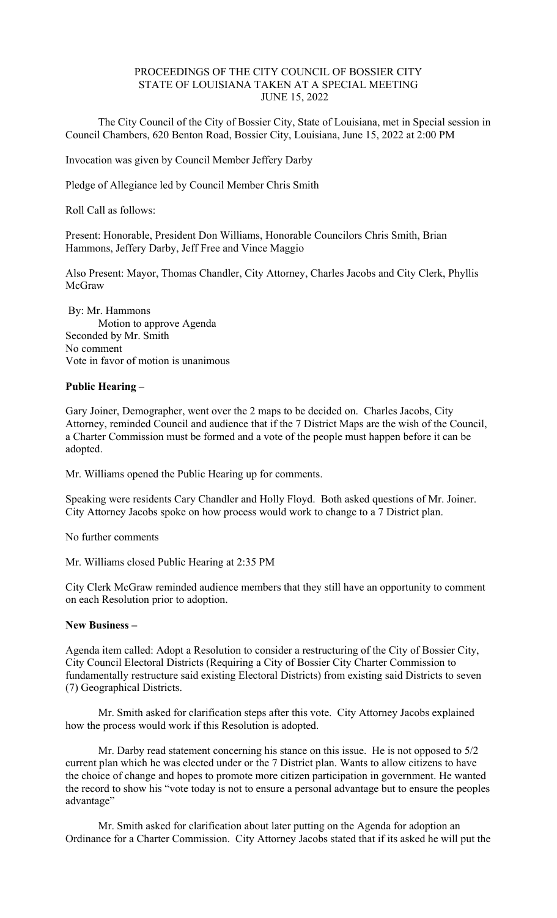## PROCEEDINGS OF THE CITY COUNCIL OF BOSSIER CITY STATE OF LOUISIANA TAKEN AT A SPECIAL MEETING JUNE 15, 2022

 The City Council of the City of Bossier City, State of Louisiana, met in Special session in Council Chambers, 620 Benton Road, Bossier City, Louisiana, June 15, 2022 at 2:00 PM

Invocation was given by Council Member Jeffery Darby

Pledge of Allegiance led by Council Member Chris Smith

Roll Call as follows:

Present: Honorable, President Don Williams, Honorable Councilors Chris Smith, Brian Hammons, Jeffery Darby, Jeff Free and Vince Maggio

Also Present: Mayor, Thomas Chandler, City Attorney, Charles Jacobs and City Clerk, Phyllis McGraw

 By: Mr. Hammons Motion to approve Agenda Seconded by Mr. Smith No comment Vote in favor of motion is unanimous

# **Public Hearing –**

Gary Joiner, Demographer, went over the 2 maps to be decided on. Charles Jacobs, City Attorney, reminded Council and audience that if the 7 District Maps are the wish of the Council, a Charter Commission must be formed and a vote of the people must happen before it can be adopted.

Mr. Williams opened the Public Hearing up for comments.

Speaking were residents Cary Chandler and Holly Floyd. Both asked questions of Mr. Joiner. City Attorney Jacobs spoke on how process would work to change to a 7 District plan.

No further comments

Mr. Williams closed Public Hearing at 2:35 PM

City Clerk McGraw reminded audience members that they still have an opportunity to comment on each Resolution prior to adoption.

#### **New Business –**

Agenda item called: Adopt a Resolution to consider a restructuring of the City of Bossier City, City Council Electoral Districts (Requiring a City of Bossier City Charter Commission to fundamentally restructure said existing Electoral Districts) from existing said Districts to seven (7) Geographical Districts.

 Mr. Smith asked for clarification steps after this vote. City Attorney Jacobs explained how the process would work if this Resolution is adopted.

 Mr. Darby read statement concerning his stance on this issue. He is not opposed to 5/2 current plan which he was elected under or the 7 District plan. Wants to allow citizens to have the choice of change and hopes to promote more citizen participation in government. He wanted the record to show his "vote today is not to ensure a personal advantage but to ensure the peoples advantage"

 Mr. Smith asked for clarification about later putting on the Agenda for adoption an Ordinance for a Charter Commission. City Attorney Jacobs stated that if its asked he will put the